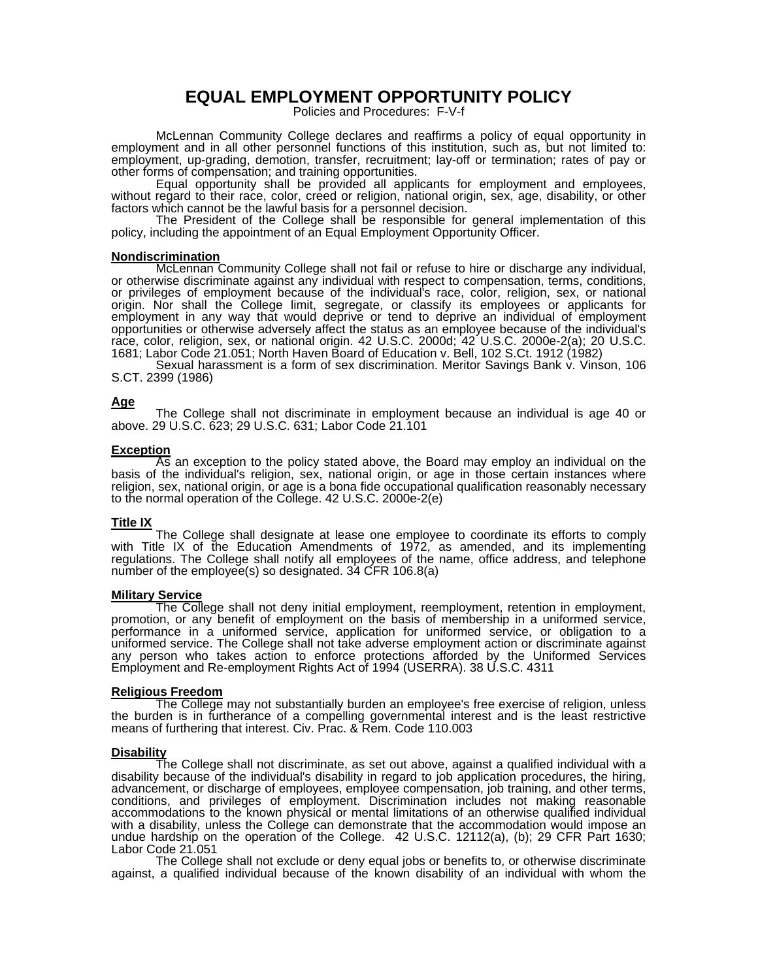# **EQUAL EMPLOYMENT OPPORTUNITY POLICY**

Policies and Procedures: F-V-f

McLennan Community College declares and reaffirms a policy of equal opportunity in employment and in all other personnel functions of this institution, such as, but not limited to: employment, up-grading, demotion, transfer, recruitment; lay-off or termination; rates of pay or other forms of compensation; and training opportunities.

 Equal opportunity shall be provided all applicants for employment and employees, without regard to their race, color, creed or religion, national origin, sex, age, disability, or other factors which cannot be the lawful basis for a personnel decision.

 The President of the College shall be responsible for general implementation of this policy, including the appointment of an Equal Employment Opportunity Officer.

#### **Nondiscrimination**

McLennan Community College shall not fail or refuse to hire or discharge any individual, or otherwise discriminate against any individual with respect to compensation, terms, conditions, or privileges of employment because of the individual's race, color, religion, sex, or national origin. Nor shall the College limit, segregate, or classify its employees or applicants for employment in any way that would deprive or tend to deprive an individual of employment opportunities or otherwise adversely affect the status as an employee because of the individual's race, color, religion, sex, or national origin. 42 U.S.C. 2000d; 42 U.S.C. 2000e-2(a); 20 U.S.C. 1681; Labor Code 21.051; North Haven Board of Education v. Bell, 102 S.Ct. 1912 (1982)

 Sexual harassment is a form of sex discrimination. Meritor Savings Bank v. Vinson, 106 S.CT. 2399 (1986)

#### **Age**

The College shall not discriminate in employment because an individual is age 40 or above. 29 U.S.C. 623; 29 U.S.C. 631; Labor Code 21.101

#### **Exception**

As an exception to the policy stated above, the Board may employ an individual on the basis of the individual's religion, sex, national origin, or age in those certain instances where religion, sex, national origin, or age is a bona fide occupational qualification reasonably necessary to the normal operation of the College. 42 U.S.C. 2000e-2(e)

# **Title IX**

The College shall designate at lease one employee to coordinate its efforts to comply with Title IX of the Education Amendments of 1972, as amended, and its implementing regulations. The College shall notify all employees of the name, office address, and telephone number of the employee(s) so designated. 34 CFR 106.8(a)

#### **Military Service**

The College shall not deny initial employment, reemployment, retention in employment, promotion, or any benefit of employment on the basis of membership in a uniformed service, performance in a uniformed service, application for uniformed service, or obligation to a uniformed service. The College shall not take adverse employment action or discriminate against any person who takes action to enforce protections afforded by the Uniformed Services Employment and Re-employment Rights Act of 1994 (USERRA). 38 U.S.C. 4311

#### **Religious Freedom**

The College may not substantially burden an employee's free exercise of religion, unless the burden is in furtherance of a compelling governmental interest and is the least restrictive means of furthering that interest. Civ. Prac. & Rem. Code 110.003

#### **Disability**

The College shall not discriminate, as set out above, against a qualified individual with a disability because of the individual's disability in regard to job application procedures, the hiring, advancement, or discharge of employees, employee compensation, job training, and other terms, conditions, and privileges of employment. Discrimination includes not making reasonable accommodations to the known physical or mental limitations of an otherwise qualified individual with a disability, unless the College can demonstrate that the accommodation would impose an undue hardship on the operation of the College. 42 U.S.C. 12112(a), (b); 29 CFR Part 1630; Labor Code 21.051

 The College shall not exclude or deny equal jobs or benefits to, or otherwise discriminate against, a qualified individual because of the known disability of an individual with whom the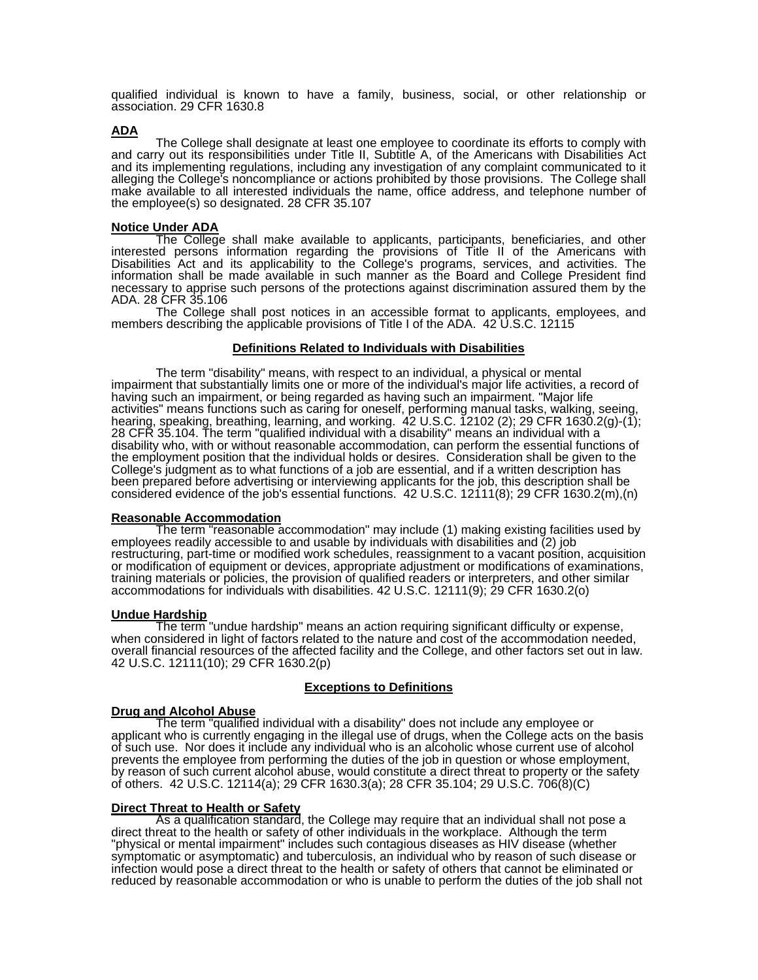qualified individual is known to have a family, business, social, or other relationship or association. 29 CFR 1630.8

### **ADA**

The College shall designate at least one employee to coordinate its efforts to comply with and carry out its responsibilities under Title II, Subtitle A, of the Americans with Disabilities Act and its implementing regulations, including any investigation of any complaint communicated to it alleging the College's noncompliance or actions prohibited by those provisions. The College shall make available to all interested individuals the name, office address, and telephone number of the employee(s) so designated. 28 CFR 35.107

### **Notice Under ADA**

The College shall make available to applicants, participants, beneficiaries, and other interested persons information regarding the provisions of Title II of the Americans with Disabilities Act and its applicability to the College's programs, services, and activities. The information shall be made available in such manner as the Board and College President find necessary to apprise such persons of the protections against discrimination assured them by the ADA. 28 CFR 35.106

 The College shall post notices in an accessible format to applicants, employees, and members describing the applicable provisions of Title I of the ADA. 42 U.S.C. 12115

## **Definitions Related to Individuals with Disabilities**

The term "disability" means, with respect to an individual, a physical or mental impairment that substantially limits one or more of the individual's major life activities, a record of having such an impairment, or being regarded as having such an impairment. "Major life activities" means functions such as caring for oneself, performing manual tasks, walking, seeing, hearing, speaking, breathing, learning, and working. 42 U.S.C. 12102 (2); 29 CFR 1630.2(g)-(1); 28 CFR 35.104. The term "qualified individual with a disability" means an individual with a disability who, with or without reasonable accommodation, can perform the essential functions of the employment position that the individual holds or desires. Consideration shall be given to the College's judgment as to what functions of a job are essential, and if a written description has been prepared before advertising or interviewing applicants for the job, this description shall be considered evidence of the job's essential functions. 42 U.S.C. 12111(8); 29 CFR 1630.2(m),(n)

#### **Reasonable Accommodation**

The term "reasonable accommodation" may include (1) making existing facilities used by employees readily accessible to and usable by individuals with disabilities and (2) job restructuring, part-time or modified work schedules, reassignment to a vacant position, acquisition or modification of equipment or devices, appropriate adjustment or modifications of examinations, training materials or policies, the provision of qualified readers or interpreters, and other similar accommodations for individuals with disabilities. 42 U.S.C. 12111(9); 29 CFR 1630.2(o)

### **Undue Hardship**

The term "undue hardship" means an action requiring significant difficulty or expense, when considered in light of factors related to the nature and cost of the accommodation needed, overall financial resources of the affected facility and the College, and other factors set out in law. 42 U.S.C. 12111(10); 29 CFR 1630.2(p)

### **Exceptions to Definitions**

#### **Drug and Alcohol Abuse**

The term "qualified individual with a disability" does not include any employee or applicant who is currently engaging in the illegal use of drugs, when the College acts on the basis of such use. Nor does it include any individual who is an alcoholic whose current use of alcohol prevents the employee from performing the duties of the job in question or whose employment, by reason of such current alcohol abuse, would constitute a direct threat to property or the safety of others. 42 U.S.C. 12114(a); 29 CFR 1630.3(a); 28 CFR 35.104; 29 U.S.C. 706(8)(C)

#### **Direct Threat to Health or Safety**

As a qualification standard, the College may require that an individual shall not pose a direct threat to the health or safety of other individuals in the workplace. Although the term "physical or mental impairment" includes such contagious diseases as HIV disease (whether symptomatic or asymptomatic) and tuberculosis, an individual who by reason of such disease or infection would pose a direct threat to the health or safety of others that cannot be eliminated or reduced by reasonable accommodation or who is unable to perform the duties of the job shall not